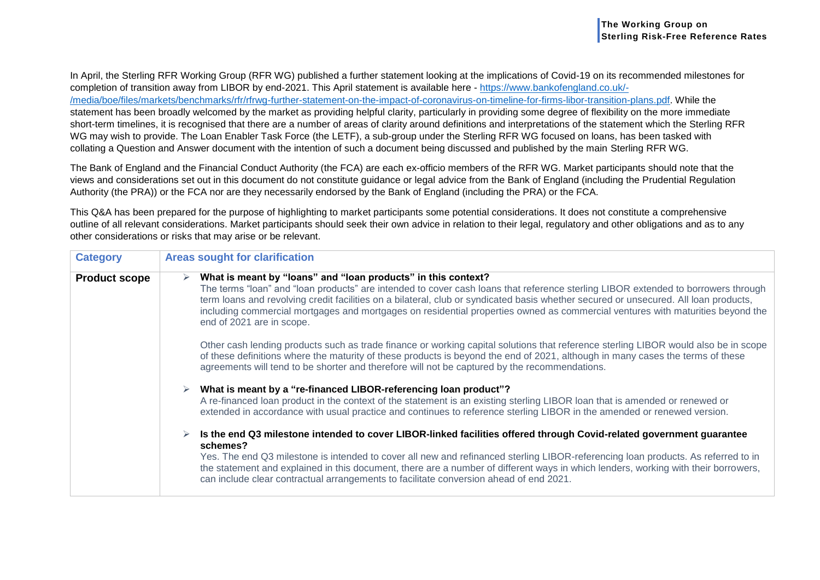In April, the Sterling RFR Working Group (RFR WG) published a further statement looking at the implications of Covid-19 on its recommended milestones for completion of transition away from LIBOR by end-2021. This April statement is available here - [https://www.bankofengland.co.uk/-](https://www.bankofengland.co.uk/-/media/boe/files/markets/benchmarks/rfr/rfrwg-further-statement-on-the-impact-of-coronavirus-on-timeline-for-firms-libor-transition-plans.pdf) [/media/boe/files/markets/benchmarks/rfr/rfrwg-further-statement-on-the-impact-of-coronavirus-on-timeline-for-firms-libor-transition-plans.pdf.](https://www.bankofengland.co.uk/-/media/boe/files/markets/benchmarks/rfr/rfrwg-further-statement-on-the-impact-of-coronavirus-on-timeline-for-firms-libor-transition-plans.pdf) While the statement has been broadly welcomed by the market as providing helpful clarity, particularly in providing some degree of flexibility on the more immediate short-term timelines, it is recognised that there are a number of areas of clarity around definitions and interpretations of the statement which the Sterling RFR WG may wish to provide. The Loan Enabler Task Force (the LETF), a sub-group under the Sterling RFR WG focused on loans, has been tasked with collating a Question and Answer document with the intention of such a document being discussed and published by the main Sterling RFR WG.

The Bank of England and the Financial Conduct Authority (the FCA) are each ex-officio members of the RFR WG. Market participants should note that the views and considerations set out in this document do not constitute guidance or legal advice from the Bank of England (including the Prudential Regulation Authority (the PRA)) or the FCA nor are they necessarily endorsed by the Bank of England (including the PRA) or the FCA.

This Q&A has been prepared for the purpose of highlighting to market participants some potential considerations. It does not constitute a comprehensive outline of all relevant considerations. Market participants should seek their own advice in relation to their legal, regulatory and other obligations and as to any other considerations or risks that may arise or be relevant.

| <b>Category</b>      | <b>Areas sought for clarification</b>                                                                                                                                                                                                                                                                                                                                                                                                                                                                          |  |  |  |
|----------------------|----------------------------------------------------------------------------------------------------------------------------------------------------------------------------------------------------------------------------------------------------------------------------------------------------------------------------------------------------------------------------------------------------------------------------------------------------------------------------------------------------------------|--|--|--|
| <b>Product scope</b> | What is meant by "loans" and "loan products" in this context?<br>➤<br>The terms "loan" and "loan products" are intended to cover cash loans that reference sterling LIBOR extended to borrowers through<br>term loans and revolving credit facilities on a bilateral, club or syndicated basis whether secured or unsecured. All loan products,<br>including commercial mortgages and mortgages on residential properties owned as commercial ventures with maturities beyond the<br>end of 2021 are in scope. |  |  |  |
|                      | Other cash lending products such as trade finance or working capital solutions that reference sterling LIBOR would also be in scope<br>of these definitions where the maturity of these products is beyond the end of 2021, although in many cases the terms of these<br>agreements will tend to be shorter and therefore will not be captured by the recommendations.                                                                                                                                         |  |  |  |
|                      | What is meant by a "re-financed LIBOR-referencing loan product"?<br>A re-financed loan product in the context of the statement is an existing sterling LIBOR loan that is amended or renewed or<br>extended in accordance with usual practice and continues to reference sterling LIBOR in the amended or renewed version.                                                                                                                                                                                     |  |  |  |
|                      | Is the end Q3 milestone intended to cover LIBOR-linked facilities offered through Covid-related government guarantee<br>schemes?<br>Yes. The end Q3 milestone is intended to cover all new and refinanced sterling LIBOR-referencing loan products. As referred to in<br>the statement and explained in this document, there are a number of different ways in which lenders, working with their borrowers,<br>can include clear contractual arrangements to facilitate conversion ahead of end 2021.          |  |  |  |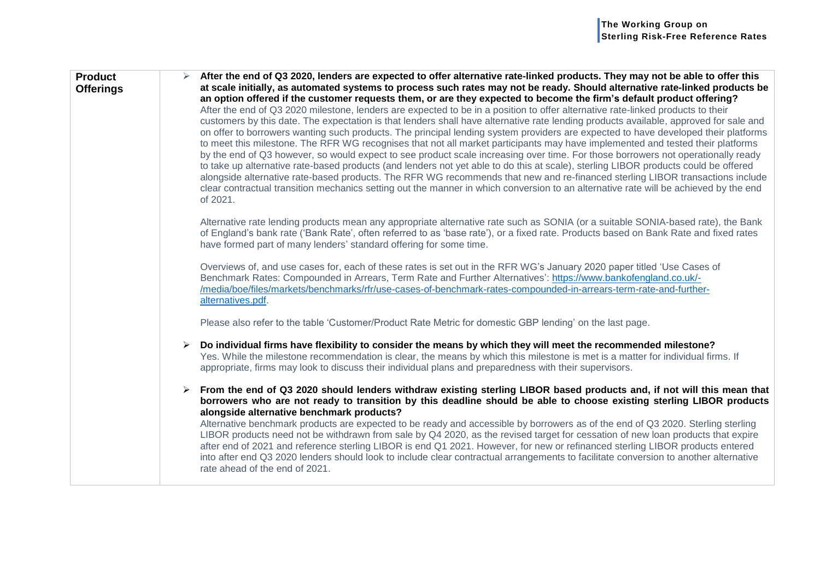| <b>Product</b><br><b>Offerings</b> | After the end of Q3 2020, lenders are expected to offer alternative rate-linked products. They may not be able to offer this<br>at scale initially, as automated systems to process such rates may not be ready. Should alternative rate-linked products be<br>an option offered if the customer requests them, or are they expected to become the firm's default product offering?<br>After the end of Q3 2020 milestone, lenders are expected to be in a position to offer alternative rate-linked products to their<br>customers by this date. The expectation is that lenders shall have alternative rate lending products available, approved for sale and<br>on offer to borrowers wanting such products. The principal lending system providers are expected to have developed their platforms<br>to meet this milestone. The RFR WG recognises that not all market participants may have implemented and tested their platforms<br>by the end of Q3 however, so would expect to see product scale increasing over time. For those borrowers not operationally ready<br>to take up alternative rate-based products (and lenders not yet able to do this at scale), sterling LIBOR products could be offered<br>alongside alternative rate-based products. The RFR WG recommends that new and re-financed sterling LIBOR transactions include<br>clear contractual transition mechanics setting out the manner in which conversion to an alternative rate will be achieved by the end<br>of 2021. |
|------------------------------------|---------------------------------------------------------------------------------------------------------------------------------------------------------------------------------------------------------------------------------------------------------------------------------------------------------------------------------------------------------------------------------------------------------------------------------------------------------------------------------------------------------------------------------------------------------------------------------------------------------------------------------------------------------------------------------------------------------------------------------------------------------------------------------------------------------------------------------------------------------------------------------------------------------------------------------------------------------------------------------------------------------------------------------------------------------------------------------------------------------------------------------------------------------------------------------------------------------------------------------------------------------------------------------------------------------------------------------------------------------------------------------------------------------------------------------------------------------------------------------------------------------|
|                                    | Alternative rate lending products mean any appropriate alternative rate such as SONIA (or a suitable SONIA-based rate), the Bank<br>of England's bank rate ('Bank Rate', often referred to as 'base rate'), or a fixed rate. Products based on Bank Rate and fixed rates<br>have formed part of many lenders' standard offering for some time.<br>Overviews of, and use cases for, each of these rates is set out in the RFR WG's January 2020 paper titled 'Use Cases of<br>Benchmark Rates: Compounded in Arrears, Term Rate and Further Alternatives': https://www.bankofengland.co.uk/-                                                                                                                                                                                                                                                                                                                                                                                                                                                                                                                                                                                                                                                                                                                                                                                                                                                                                                             |
|                                    | /media/boe/files/markets/benchmarks/rfr/use-cases-of-benchmark-rates-compounded-in-arrears-term-rate-and-further-<br>alternatives.pdf.<br>Please also refer to the table 'Customer/Product Rate Metric for domestic GBP lending' on the last page.                                                                                                                                                                                                                                                                                                                                                                                                                                                                                                                                                                                                                                                                                                                                                                                                                                                                                                                                                                                                                                                                                                                                                                                                                                                      |
|                                    | Do individual firms have flexibility to consider the means by which they will meet the recommended milestone?<br>➤<br>Yes. While the milestone recommendation is clear, the means by which this milestone is met is a matter for individual firms. If<br>appropriate, firms may look to discuss their individual plans and preparedness with their supervisors.                                                                                                                                                                                                                                                                                                                                                                                                                                                                                                                                                                                                                                                                                                                                                                                                                                                                                                                                                                                                                                                                                                                                         |
|                                    | From the end of Q3 2020 should lenders withdraw existing sterling LIBOR based products and, if not will this mean that<br>$\blacktriangleright$<br>borrowers who are not ready to transition by this deadline should be able to choose existing sterling LIBOR products<br>alongside alternative benchmark products?<br>Alternative benchmark products are expected to be ready and accessible by borrowers as of the end of Q3 2020. Sterling sterling<br>LIBOR products need not be withdrawn from sale by Q4 2020, as the revised target for cessation of new loan products that expire<br>after end of 2021 and reference sterling LIBOR is end Q1 2021. However, for new or refinanced sterling LIBOR products entered<br>into after end Q3 2020 lenders should look to include clear contractual arrangements to facilitate conversion to another alternative<br>rate ahead of the end of 2021.                                                                                                                                                                                                                                                                                                                                                                                                                                                                                                                                                                                                   |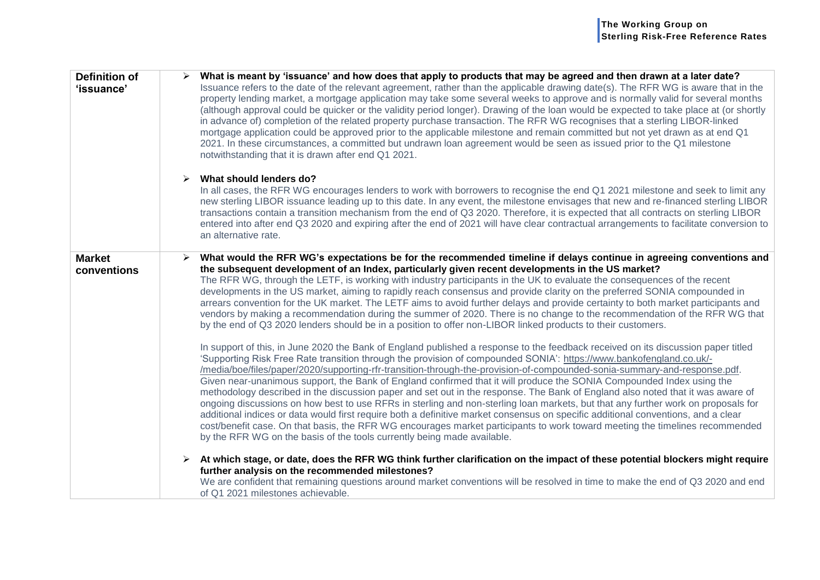| <b>Definition of</b><br>'issuance' | What is meant by 'issuance' and how does that apply to products that may be agreed and then drawn at a later date?<br>Issuance refers to the date of the relevant agreement, rather than the applicable drawing date(s). The RFR WG is aware that in the<br>property lending market, a mortgage application may take some several weeks to approve and is normally valid for several months<br>(although approval could be quicker or the validity period longer). Drawing of the loan would be expected to take place at (or shortly<br>in advance of) completion of the related property purchase transaction. The RFR WG recognises that a sterling LIBOR-linked<br>mortgage application could be approved prior to the applicable milestone and remain committed but not yet drawn as at end Q1<br>2021. In these circumstances, a committed but undrawn loan agreement would be seen as issued prior to the Q1 milestone<br>notwithstanding that it is drawn after end Q1 2021.                                                                                                                                                                                                                                                                                                                                                                                                                                                                                                                                                                                                                                                                                                                                                                                                                                                                                                                                                                                                                                                                                                                                                                                                           |
|------------------------------------|------------------------------------------------------------------------------------------------------------------------------------------------------------------------------------------------------------------------------------------------------------------------------------------------------------------------------------------------------------------------------------------------------------------------------------------------------------------------------------------------------------------------------------------------------------------------------------------------------------------------------------------------------------------------------------------------------------------------------------------------------------------------------------------------------------------------------------------------------------------------------------------------------------------------------------------------------------------------------------------------------------------------------------------------------------------------------------------------------------------------------------------------------------------------------------------------------------------------------------------------------------------------------------------------------------------------------------------------------------------------------------------------------------------------------------------------------------------------------------------------------------------------------------------------------------------------------------------------------------------------------------------------------------------------------------------------------------------------------------------------------------------------------------------------------------------------------------------------------------------------------------------------------------------------------------------------------------------------------------------------------------------------------------------------------------------------------------------------------------------------------------------------------------------------------------------------|
|                                    | What should lenders do?<br>➤<br>In all cases, the RFR WG encourages lenders to work with borrowers to recognise the end Q1 2021 milestone and seek to limit any<br>new sterling LIBOR issuance leading up to this date. In any event, the milestone envisages that new and re-financed sterling LIBOR<br>transactions contain a transition mechanism from the end of Q3 2020. Therefore, it is expected that all contracts on sterling LIBOR<br>entered into after end Q3 2020 and expiring after the end of 2021 will have clear contractual arrangements to facilitate conversion to<br>an alternative rate.                                                                                                                                                                                                                                                                                                                                                                                                                                                                                                                                                                                                                                                                                                                                                                                                                                                                                                                                                                                                                                                                                                                                                                                                                                                                                                                                                                                                                                                                                                                                                                                 |
| <b>Market</b><br>conventions       | What would the RFR WG's expectations be for the recommended timeline if delays continue in agreeing conventions and<br>the subsequent development of an Index, particularly given recent developments in the US market?<br>The RFR WG, through the LETF, is working with industry participants in the UK to evaluate the consequences of the recent<br>developments in the US market, aiming to rapidly reach consensus and provide clarity on the preferred SONIA compounded in<br>arrears convention for the UK market. The LETF aims to avoid further delays and provide certainty to both market participants and<br>vendors by making a recommendation during the summer of 2020. There is no change to the recommendation of the RFR WG that<br>by the end of Q3 2020 lenders should be in a position to offer non-LIBOR linked products to their customers.<br>In support of this, in June 2020 the Bank of England published a response to the feedback received on its discussion paper titled<br>'Supporting Risk Free Rate transition through the provision of compounded SONIA': https://www.bankofengland.co.uk/-<br>/media/boe/files/paper/2020/supporting-rfr-transition-through-the-provision-of-compounded-sonia-summary-and-response.pdf.<br>Given near-unanimous support, the Bank of England confirmed that it will produce the SONIA Compounded Index using the<br>methodology described in the discussion paper and set out in the response. The Bank of England also noted that it was aware of<br>ongoing discussions on how best to use RFRs in sterling and non-sterling loan markets, but that any further work on proposals for<br>additional indices or data would first require both a definitive market consensus on specific additional conventions, and a clear<br>cost/benefit case. On that basis, the RFR WG encourages market participants to work toward meeting the timelines recommended<br>by the RFR WG on the basis of the tools currently being made available.<br>At which stage, or date, does the RFR WG think further clarification on the impact of these potential blockers might require<br>further analysis on the recommended milestones? |
|                                    | We are confident that remaining questions around market conventions will be resolved in time to make the end of Q3 2020 and end<br>of Q1 2021 milestones achievable.                                                                                                                                                                                                                                                                                                                                                                                                                                                                                                                                                                                                                                                                                                                                                                                                                                                                                                                                                                                                                                                                                                                                                                                                                                                                                                                                                                                                                                                                                                                                                                                                                                                                                                                                                                                                                                                                                                                                                                                                                           |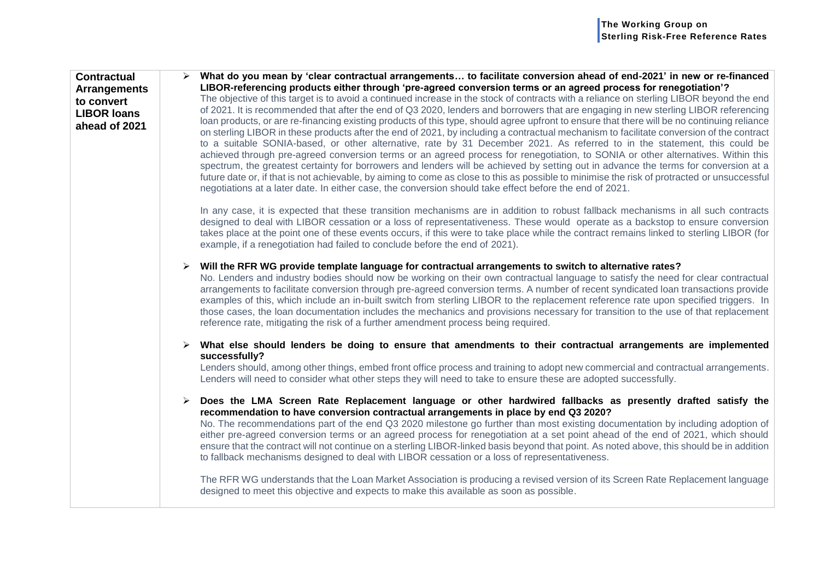| <b>Contractual</b><br><b>Arrangements</b><br>to convert<br><b>LIBOR loans</b><br>ahead of 2021 | What do you mean by 'clear contractual arrangements to facilitate conversion ahead of end-2021' in new or re-financed<br>LIBOR-referencing products either through 'pre-agreed conversion terms or an agreed process for renegotiation'?<br>The objective of this target is to avoid a continued increase in the stock of contracts with a reliance on sterling LIBOR beyond the end<br>of 2021. It is recommended that after the end of Q3 2020, lenders and borrowers that are engaging in new sterling LIBOR referencing<br>loan products, or are re-financing existing products of this type, should agree upfront to ensure that there will be no continuing reliance<br>on sterling LIBOR in these products after the end of 2021, by including a contractual mechanism to facilitate conversion of the contract<br>to a suitable SONIA-based, or other alternative, rate by 31 December 2021. As referred to in the statement, this could be<br>achieved through pre-agreed conversion terms or an agreed process for renegotiation, to SONIA or other alternatives. Within this<br>spectrum, the greatest certainty for borrowers and lenders will be achieved by setting out in advance the terms for conversion at a<br>future date or, if that is not achievable, by aiming to come as close to this as possible to minimise the risk of protracted or unsuccessful<br>negotiations at a later date. In either case, the conversion should take effect before the end of 2021. |
|------------------------------------------------------------------------------------------------|-------------------------------------------------------------------------------------------------------------------------------------------------------------------------------------------------------------------------------------------------------------------------------------------------------------------------------------------------------------------------------------------------------------------------------------------------------------------------------------------------------------------------------------------------------------------------------------------------------------------------------------------------------------------------------------------------------------------------------------------------------------------------------------------------------------------------------------------------------------------------------------------------------------------------------------------------------------------------------------------------------------------------------------------------------------------------------------------------------------------------------------------------------------------------------------------------------------------------------------------------------------------------------------------------------------------------------------------------------------------------------------------------------------------------------------------------------------------------------------------|
|                                                                                                | In any case, it is expected that these transition mechanisms are in addition to robust fallback mechanisms in all such contracts<br>designed to deal with LIBOR cessation or a loss of representativeness. These would operate as a backstop to ensure conversion<br>takes place at the point one of these events occurs, if this were to take place while the contract remains linked to sterling LIBOR (for<br>example, if a renegotiation had failed to conclude before the end of 2021).                                                                                                                                                                                                                                                                                                                                                                                                                                                                                                                                                                                                                                                                                                                                                                                                                                                                                                                                                                                              |
|                                                                                                | Will the RFR WG provide template language for contractual arrangements to switch to alternative rates?<br>➤<br>No. Lenders and industry bodies should now be working on their own contractual language to satisfy the need for clear contractual<br>arrangements to facilitate conversion through pre-agreed conversion terms. A number of recent syndicated loan transactions provide<br>examples of this, which include an in-built switch from sterling LIBOR to the replacement reference rate upon specified triggers. In<br>those cases, the loan documentation includes the mechanics and provisions necessary for transition to the use of that replacement<br>reference rate, mitigating the risk of a further amendment process being required.                                                                                                                                                                                                                                                                                                                                                                                                                                                                                                                                                                                                                                                                                                                                 |
|                                                                                                | What else should lenders be doing to ensure that amendments to their contractual arrangements are implemented                                                                                                                                                                                                                                                                                                                                                                                                                                                                                                                                                                                                                                                                                                                                                                                                                                                                                                                                                                                                                                                                                                                                                                                                                                                                                                                                                                             |
|                                                                                                | successfully?<br>Lenders should, among other things, embed front office process and training to adopt new commercial and contractual arrangements.<br>Lenders will need to consider what other steps they will need to take to ensure these are adopted successfully.                                                                                                                                                                                                                                                                                                                                                                                                                                                                                                                                                                                                                                                                                                                                                                                                                                                                                                                                                                                                                                                                                                                                                                                                                     |
|                                                                                                | Does the LMA Screen Rate Replacement language or other hardwired fallbacks as presently drafted satisfy the<br>➤<br>recommendation to have conversion contractual arrangements in place by end Q3 2020?<br>No. The recommendations part of the end Q3 2020 milestone go further than most existing documentation by including adoption of<br>either pre-agreed conversion terms or an agreed process for renegotiation at a set point ahead of the end of 2021, which should<br>ensure that the contract will not continue on a sterling LIBOR-linked basis beyond that point. As noted above, this should be in addition<br>to fallback mechanisms designed to deal with LIBOR cessation or a loss of representativeness.<br>The RFR WG understands that the Loan Market Association is producing a revised version of its Screen Rate Replacement language<br>designed to meet this objective and expects to make this available as soon as possible.                                                                                                                                                                                                                                                                                                                                                                                                                                                                                                                                   |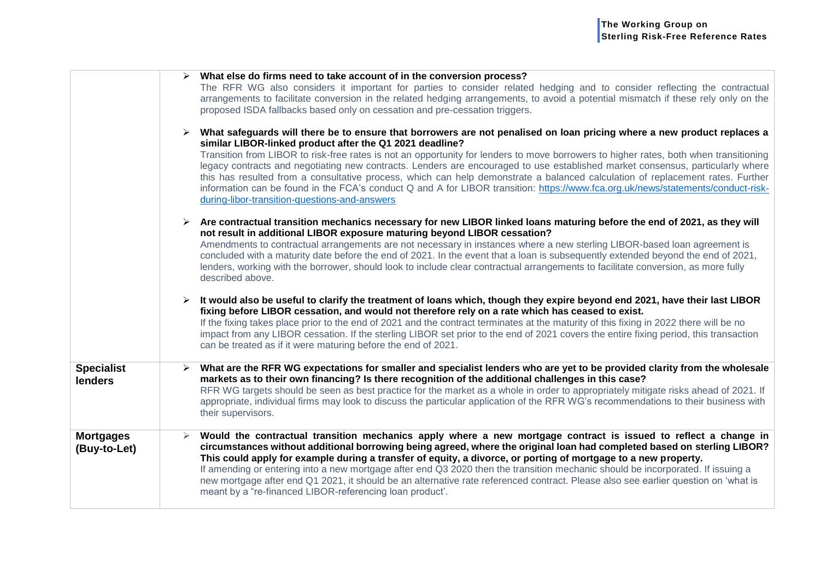|                                     | $\triangleright$ What else do firms need to take account of in the conversion process?<br>The RFR WG also considers it important for parties to consider related hedging and to consider reflecting the contractual<br>arrangements to facilitate conversion in the related hedging arrangements, to avoid a potential mismatch if these rely only on the<br>proposed ISDA fallbacks based only on cessation and pre-cessation triggers.<br>$\triangleright$ What safeguards will there be to ensure that borrowers are not penalised on loan pricing where a new product replaces a<br>similar LIBOR-linked product after the Q1 2021 deadline?<br>Transition from LIBOR to risk-free rates is not an opportunity for lenders to move borrowers to higher rates, both when transitioning<br>legacy contracts and negotiating new contracts. Lenders are encouraged to use established market consensus, particularly where |
|-------------------------------------|-----------------------------------------------------------------------------------------------------------------------------------------------------------------------------------------------------------------------------------------------------------------------------------------------------------------------------------------------------------------------------------------------------------------------------------------------------------------------------------------------------------------------------------------------------------------------------------------------------------------------------------------------------------------------------------------------------------------------------------------------------------------------------------------------------------------------------------------------------------------------------------------------------------------------------|
|                                     | this has resulted from a consultative process, which can help demonstrate a balanced calculation of replacement rates. Further<br>information can be found in the FCA's conduct Q and A for LIBOR transition: https://www.fca.org.uk/news/statements/conduct-risk-<br>during-libor-transition-questions-and-answers                                                                                                                                                                                                                                                                                                                                                                                                                                                                                                                                                                                                         |
|                                     | $\triangleright$ Are contractual transition mechanics necessary for new LIBOR linked loans maturing before the end of 2021, as they will<br>not result in additional LIBOR exposure maturing beyond LIBOR cessation?<br>Amendments to contractual arrangements are not necessary in instances where a new sterling LIBOR-based loan agreement is<br>concluded with a maturity date before the end of 2021. In the event that a loan is subsequently extended beyond the end of 2021,<br>lenders, working with the borrower, should look to include clear contractual arrangements to facilitate conversion, as more fully<br>described above.                                                                                                                                                                                                                                                                               |
|                                     | It would also be useful to clarify the treatment of loans which, though they expire beyond end 2021, have their last LIBOR<br>fixing before LIBOR cessation, and would not therefore rely on a rate which has ceased to exist.<br>If the fixing takes place prior to the end of 2021 and the contract terminates at the maturity of this fixing in 2022 there will be no<br>impact from any LIBOR cessation. If the sterling LIBOR set prior to the end of 2021 covers the entire fixing period, this transaction<br>can be treated as if it were maturing before the end of 2021.                                                                                                                                                                                                                                                                                                                                          |
| <b>Specialist</b><br><b>lenders</b> | What are the RFR WG expectations for smaller and specialist lenders who are yet to be provided clarity from the wholesale<br>markets as to their own financing? Is there recognition of the additional challenges in this case?<br>RFR WG targets should be seen as best practice for the market as a whole in order to appropriately mitigate risks ahead of 2021. If<br>appropriate, individual firms may look to discuss the particular application of the RFR WG's recommendations to their business with<br>their supervisors.                                                                                                                                                                                                                                                                                                                                                                                         |
| <b>Mortgages</b><br>(Buy-to-Let)    | Would the contractual transition mechanics apply where a new mortgage contract is issued to reflect a change in<br>circumstances without additional borrowing being agreed, where the original loan had completed based on sterling LIBOR?<br>This could apply for example during a transfer of equity, a divorce, or porting of mortgage to a new property.<br>If amending or entering into a new mortgage after end Q3 2020 then the transition mechanic should be incorporated. If issuing a<br>new mortgage after end Q1 2021, it should be an alternative rate referenced contract. Please also see earlier question on 'what is<br>meant by a "re-financed LIBOR-referencing loan product".                                                                                                                                                                                                                           |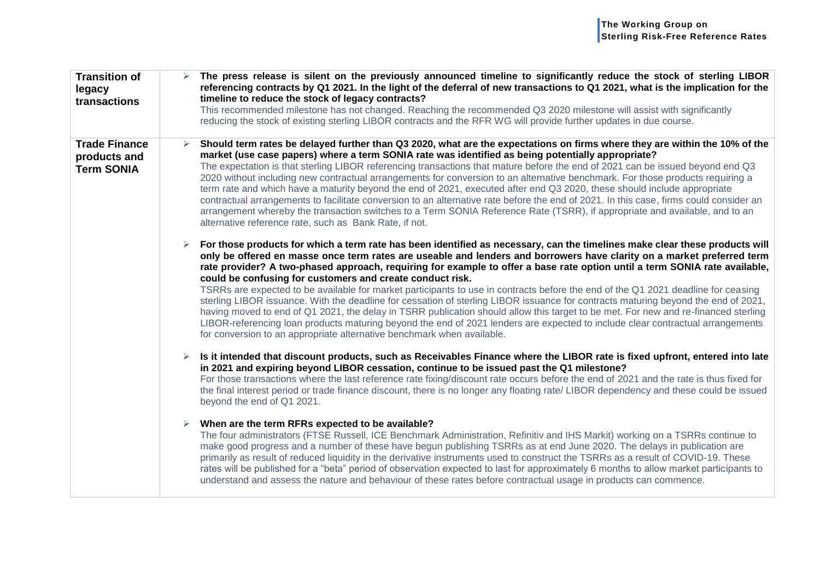| <b>Transition of</b><br>legacy<br>transactions            | The press release is silent on the previously announced timeline to significantly reduce the stock of sterling LIBOR<br>referencing contracts by Q1 2021. In the light of the deferral of new transactions to Q1 2021, what is the implication for the<br>timeline to reduce the stock of legacy contracts?<br>This recommended milestone has not changed. Reaching the recommended Q3 2020 milestone will assist with significantly<br>reducing the stock of existing sterling LIBOR contracts and the RFR WG will provide further updates in due course.                                                                                                                                                                                                                                                                                                                                                                                                                                                                                                                    |
|-----------------------------------------------------------|-------------------------------------------------------------------------------------------------------------------------------------------------------------------------------------------------------------------------------------------------------------------------------------------------------------------------------------------------------------------------------------------------------------------------------------------------------------------------------------------------------------------------------------------------------------------------------------------------------------------------------------------------------------------------------------------------------------------------------------------------------------------------------------------------------------------------------------------------------------------------------------------------------------------------------------------------------------------------------------------------------------------------------------------------------------------------------|
| <b>Trade Finance</b><br>products and<br><b>Term SONIA</b> | Should term rates be delayed further than Q3 2020, what are the expectations on firms where they are within the 10% of the<br>➤<br>market (use case papers) where a term SONIA rate was identified as being potentially appropriate?<br>The expectation is that sterling LIBOR referencing transactions that mature before the end of 2021 can be issued beyond end Q3<br>2020 without including new contractual arrangements for conversion to an alternative benchmark. For those products requiring a<br>term rate and which have a maturity beyond the end of 2021, executed after end Q3 2020, these should include appropriate<br>contractual arrangements to facilitate conversion to an alternative rate before the end of 2021. In this case, firms could consider an<br>arrangement whereby the transaction switches to a Term SONIA Reference Rate (TSRR), if appropriate and available, and to an<br>alternative reference rate, such as Bank Rate, if not.                                                                                                       |
|                                                           | For those products for which a term rate has been identified as necessary, can the timelines make clear these products will<br>only be offered en masse once term rates are useable and lenders and borrowers have clarity on a market preferred term<br>rate provider? A two-phased approach, requiring for example to offer a base rate option until a term SONIA rate available,<br>could be confusing for customers and create conduct risk.<br>TSRRs are expected to be available for market participants to use in contracts before the end of the Q1 2021 deadline for ceasing<br>sterling LIBOR issuance. With the deadline for cessation of sterling LIBOR issuance for contracts maturing beyond the end of 2021,<br>having moved to end of Q1 2021, the delay in TSRR publication should allow this target to be met. For new and re-financed sterling<br>LIBOR-referencing loan products maturing beyond the end of 2021 lenders are expected to include clear contractual arrangements<br>for conversion to an appropriate alternative benchmark when available. |
|                                                           | Is it intended that discount products, such as Receivables Finance where the LIBOR rate is fixed upfront, entered into late<br>➤<br>in 2021 and expiring beyond LIBOR cessation, continue to be issued past the Q1 milestone?<br>For those transactions where the last reference rate fixing/discount rate occurs before the end of 2021 and the rate is thus fixed for<br>the final interest period or trade finance discount, there is no longer any floating rate/ LIBOR dependency and these could be issued<br>beyond the end of Q1 2021.                                                                                                                                                                                                                                                                                                                                                                                                                                                                                                                                |
|                                                           | When are the term RFRs expected to be available?<br>➤<br>The four administrators (FTSE Russell, ICE Benchmark Administration, Refinitiv and IHS Markit) working on a TSRRs continue to<br>make good progress and a number of these have begun publishing TSRRs as at end June 2020. The delays in publication are<br>primarily as result of reduced liquidity in the derivative instruments used to construct the TSRRs as a result of COVID-19. These<br>rates will be published for a "beta" period of observation expected to last for approximately 6 months to allow market participants to<br>understand and assess the nature and behaviour of these rates before contractual usage in products can commence.                                                                                                                                                                                                                                                                                                                                                          |